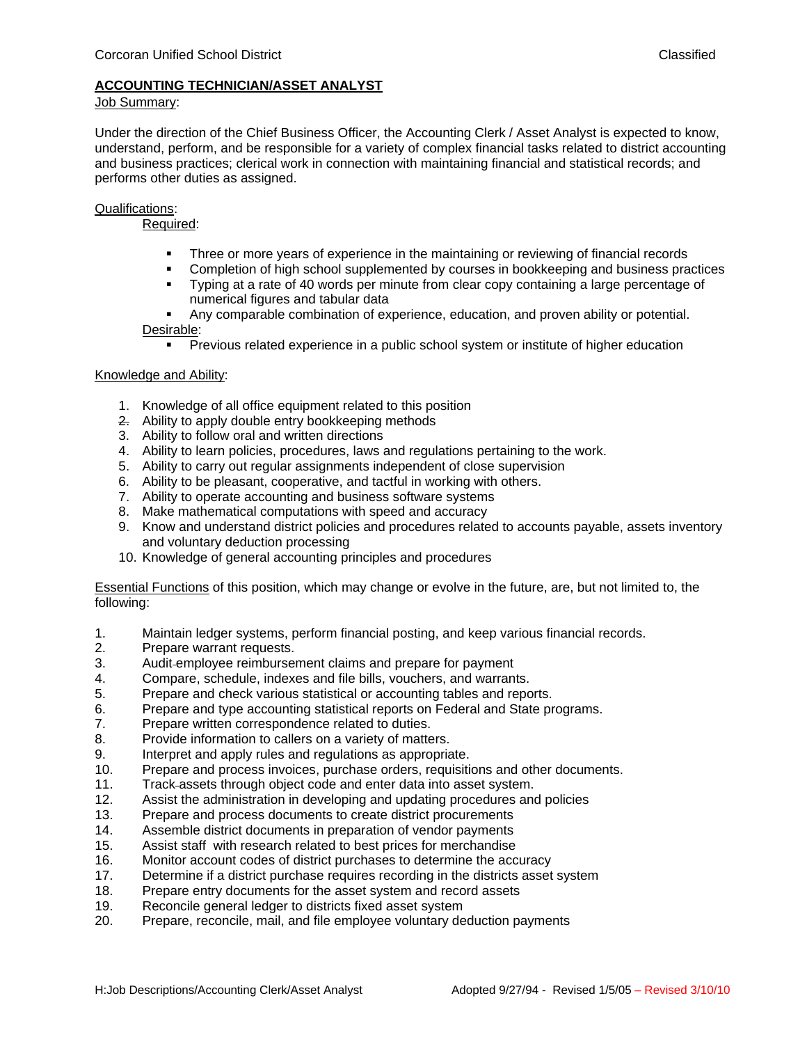## **ACCOUNTING TECHNICIAN/ASSET ANALYST**

### Job Summary:

Under the direction of the Chief Business Officer, the Accounting Clerk / Asset Analyst is expected to know, understand, perform, and be responsible for a variety of complex financial tasks related to district accounting and business practices; clerical work in connection with maintaining financial and statistical records; and performs other duties as assigned.

## Qualifications:

# Required:

- **Three or more years of experience in the maintaining or reviewing of financial records**
- Completion of high school supplemented by courses in bookkeeping and business practices<br>■ Typing at a rate of 40 words per minute from clear copy containing a large percentage of
- Typing at a rate of 40 words per minute from clear copy containing a large percentage of numerical figures and tabular data
- Any comparable combination of experience, education, and proven ability or potential. Desirable:
	- **Previous related experience in a public school system or institute of higher education**

## Knowledge and Ability:

- 1. Knowledge of all office equipment related to this position
- 2. Ability to apply double entry bookkeeping methods
- 3. Ability to follow oral and written directions
- 4. Ability to learn policies, procedures, laws and regulations pertaining to the work.
- 5. Ability to carry out regular assignments independent of close supervision
- 6. Ability to be pleasant, cooperative, and tactful in working with others.
- 7. Ability to operate accounting and business software systems
- 8. Make mathematical computations with speed and accuracy
- 9. Know and understand district policies and procedures related to accounts payable, assets inventory and voluntary deduction processing
- 10. Knowledge of general accounting principles and procedures

Essential Functions of this position, which may change or evolve in the future, are, but not limited to, the following:

- 1. Maintain ledger systems, perform financial posting, and keep various financial records.
- 2. Prepare warrant requests.
- 3. Audit employee reimbursement claims and prepare for payment
- 4. Compare, schedule, indexes and file bills, vouchers, and warrants.
- 5. Prepare and check various statistical or accounting tables and reports.
- 6. Prepare and type accounting statistical reports on Federal and State programs.
- 7. Prepare written correspondence related to duties.
- 8. Provide information to callers on a variety of matters.
- 9. Interpret and apply rules and regulations as appropriate.
- 10. Prepare and process invoices, purchase orders, requisitions and other documents.
- 11. Track assets through object code and enter data into asset system.
- 12. Assist the administration in developing and updating procedures and policies
- 13. Prepare and process documents to create district procurements
- 14. Assemble district documents in preparation of vendor payments
- 15. Assist staff with research related to best prices for merchandise
- 16. Monitor account codes of district purchases to determine the accuracy
- 17. Determine if a district purchase requires recording in the districts asset system
- 18. Prepare entry documents for the asset system and record assets
- 19. Reconcile general ledger to districts fixed asset system
- 20. Prepare, reconcile, mail, and file employee voluntary deduction payments